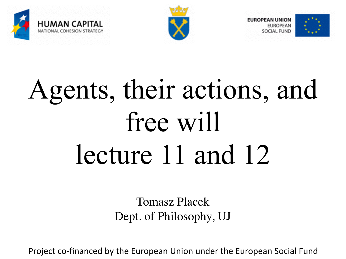







# Agents, their actions, and free will lecture 11 and 12

Tomasz Placek Dept. of Philosophy, UJ

Project co-financed by the European Union under the European Social Fund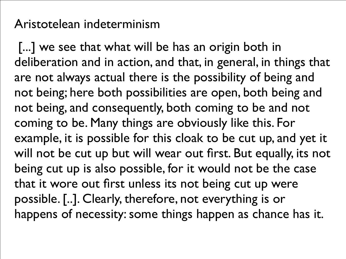### Aristotelean indeterminism

[...] we see that what will be has an origin both in deliberation and in action, and that, in general, in things that are not always actual there is the possibility of being and not being; here both possibilities are open, both being and not being, and consequently, both coming to be and not coming to be. Many things are obviously like this. For example, it is possible for this cloak to be cut up, and yet it will not be cut up but will wear out first. But equally, its not being cut up is also possible, for it would not be the case that it wore out first unless its not being cut up were possible. [..]. Clearly, therefore, not everything is or happens of necessity: some things happen as chance has it.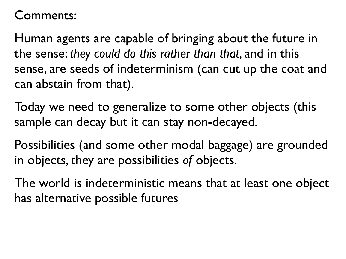## Comments:

Human agents are capable of bringing about the future in the sense: *they could do this rather than that*, and in this sense, are seeds of indeterminism (can cut up the coat and can abstain from that).

Today we need to generalize to some other objects (this sample can decay but it can stay non-decayed.

Possibilities (and some other modal baggage) are grounded in objects, they are possibilities *of* objects.

The world is indeterministic means that at least one object has alternative possible futures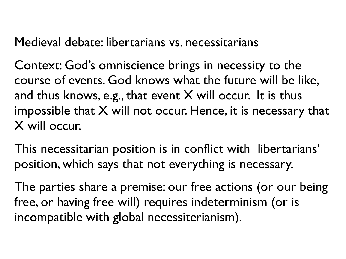Medieval debate: libertarians vs. necessitarians

Context: God's omniscience brings in necessity to the course of events. God knows what the future will be like, and thus knows, e.g., that event  $X$  will occur. It is thus impossible that  $X$  will not occur. Hence, it is necessary that X will occur.

This necessitarian position is in conflict with libertarians' position, which says that not everything is necessary.

The parties share a premise: our free actions (or our being free, or having free will) requires indeterminism (or is incompatible with global necessiterianism).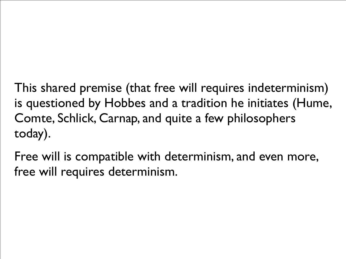This shared premise (that free will requires indeterminism) is questioned by Hobbes and a tradition he initiates (Hume, Comte, Schlick, Carnap, and quite a few philosophers today).

Free will is compatible with determinism, and even more, free will requires determinism.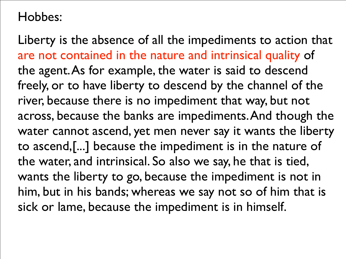#### Hobbes:

Liberty is the absence of all the impediments to action that are not contained in the nature and intrinsical quality of the agent. As for example, the water is said to descend freely, or to have liberty to descend by the channel of the river, because there is no impediment that way, but not across, because the banks are impediments. And though the water cannot ascend, yet men never say it wants the liberty to ascend,[...] because the impediment is in the nature of the water, and intrinsical. So also we say, he that is tied, wants the liberty to go, because the impediment is not in him, but in his bands; whereas we say not so of him that is sick or lame, because the impediment is in himself.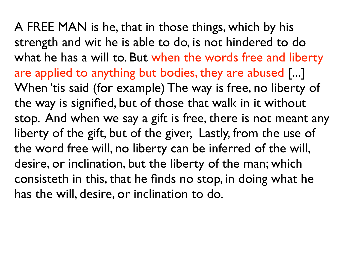A FREE MAN is he, that in those things, which by his strength and wit he is able to do, is not hindered to do what he has a will to. But when the words free and liberty are applied to anything but bodies, they are abused [...] When 'tis said (for example) The way is free, no liberty of the way is signified, but of those that walk in it without stop. And when we say a gift is free, there is not meant any liberty of the gift, but of the giver, Lastly, from the use of the word free will, no liberty can be inferred of the will, desire, or inclination, but the liberty of the man; which consisteth in this, that he finds no stop, in doing what he has the will, desire, or inclination to do.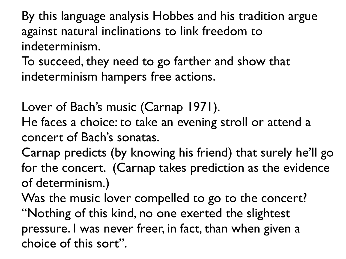By this language analysis Hobbes and his tradition argue against natural inclinations to link freedom to indeterminism.

To succeed, they need to go farther and show that indeterminism hampers free actions.

Lover of Bach's music (Carnap 1971).

He faces a choice: to take an evening stroll or attend a concert of Bach's sonatas.

Carnap predicts (by knowing his friend) that surely he'll go for the concert. (Carnap takes prediction as the evidence of determinism.)

Was the music lover compelled to go to the concert? "Nothing of this kind, no one exerted the slightest pressure. I was never freer, in fact, than when given a choice of this sort".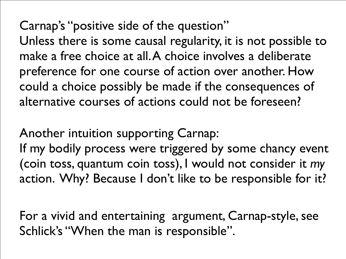Carnap's "positive side of the question"

Unless there is some causal regularity, it is not possible to make a free choice at all. A choice involves a deliberate preference for one course of action over another. How could a choice possibly be made if the consequences of alternative courses of actions could not be foreseen?

Another intuition supporting Carnap:

If my bodily process were triggered by some chancy event (coin toss, quantum coin toss), I would not consider it *my* action. Why? Because I don't like to be responsible for it?

For a vivid and entertaining argument, Carnap-style, see Schlick's "When the man is responsible".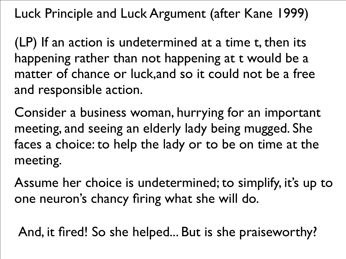Luck Principle and Luck Argument (after Kane 1999)

(LP) If an action is undetermined at a time t, then its happening rather than not happening at t would be a matter of chance or luck,and so it could not be a free and responsible action.

Consider a business woman, hurrying for an important meeting, and seeing an elderly lady being mugged. She faces a choice: to help the lady or to be on time at the meeting.

Assume her choice is undetermined; to simplify, it's up to one neuron's chancy firing what she will do.

And, it fired! So she helped... But is she praiseworthy?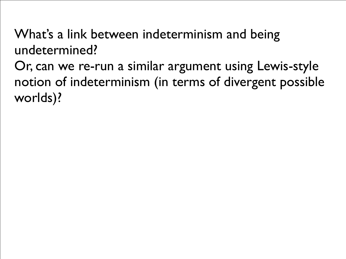What's a link between indeterminism and being undetermined?

Or, can we re-run a similar argument using Lewis-style notion of indeterminism (in terms of divergent possible worlds)?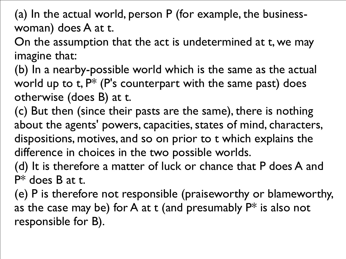(a) In the actual world, person P (for example, the businesswoman) does A at t.

On the assumption that the act is undetermined at t, we may imagine that:

(b) In a nearby-possible world which is the same as the actual world up to t,  $P^*$  (P's counterpart with the same past) does otherwise (does B) at t.

(c) But then (since their pasts are the same), there is nothing about the agents' powers, capacities, states of mind, characters, dispositions, motives, and so on prior to t which explains the difference in choices in the two possible worlds.

(d) It is therefore a matter of luck or chance that P does A and P\* does B at t.

(e) P is therefore not responsible (praiseworthy or blameworthy, as the case may be) for A at t (and presumably  $P^*$  is also not responsible for B).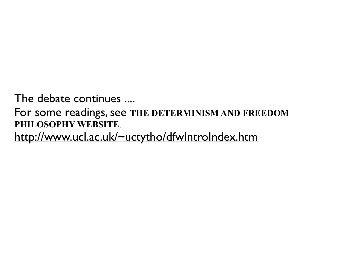The debate continues ....

For some readings, see **THE DETERMINISM AND FREEDOM PHILOSOPHY WEBSITE**,

<http://www.ucl.ac.uk/~uctytho/dfwIntroIndex.htm>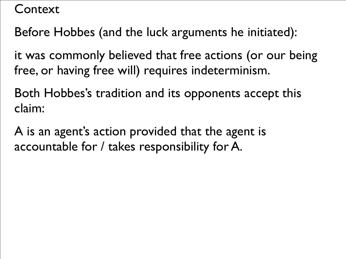#### **Context**

Before Hobbes (and the luck arguments he initiated):

it was commonly believed that free actions (or our being free, or having free will) requires indeterminism.

Both Hobbes's tradition and its opponents accept this claim:

A is an agent's action provided that the agent is accountable for / takes responsibility for A.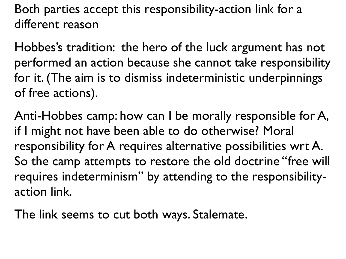Both parties accept this responsibility-action link for a different reason

Hobbes's tradition: the hero of the luck argument has not performed an action because she cannot take responsibility for it. (The aim is to dismiss indeterministic underpinnings of free actions).

Anti-Hobbes camp: how can I be morally responsible for A, if I might not have been able to do otherwise? Moral responsibility for A requires alternative possibilities wrt A. So the camp attempts to restore the old doctrine "free will requires indeterminism" by attending to the responsibilityaction link.

The link seems to cut both ways. Stalemate.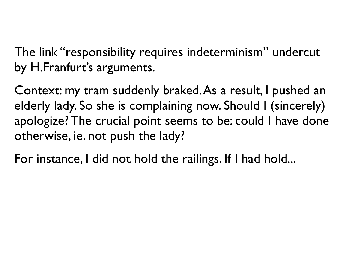The link "responsibility requires indeterminism" undercut by H.Franfurt's arguments.

Context: my tram suddenly braked. As a result, I pushed an elderly lady. So she is complaining now. Should I (sincerely) apologize? The crucial point seems to be: could I have done otherwise, ie. not push the lady?

For instance, I did not hold the railings. If I had hold...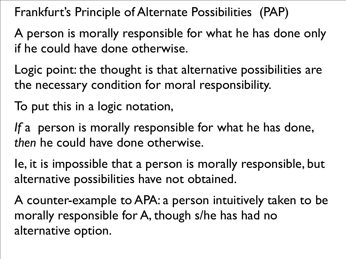Frankfurt's Principle of Alternate Possibilities (PAP)

A person is morally responsible for what he has done only if he could have done otherwise.

Logic point: the thought is that alternative possibilities are the necessary condition for moral responsibility.

To put this in a logic notation,

*If* a person is morally responsible for what he has done, *then* he could have done otherwise.

Ie, it is impossible that a person is morally responsible, but alternative possibilities have not obtained.

A counter-example to APA: a person intuitively taken to be morally responsible for A, though s/he has had no alternative option.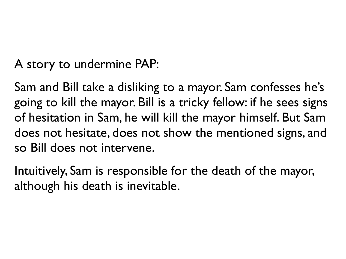A story to undermine PAP:

Sam and Bill take a disliking to a mayor. Sam confesses he's going to kill the mayor. Bill is a tricky fellow: if he sees signs of hesitation in Sam, he will kill the mayor himself. But Sam does not hesitate, does not show the mentioned signs, and so Bill does not intervene.

Intuitively, Sam is responsible for the death of the mayor, although his death is inevitable.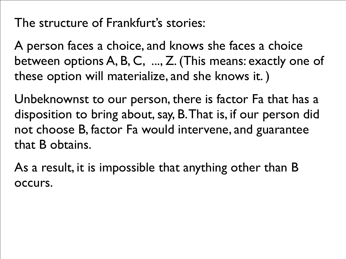The structure of Frankfurt's stories:

A person faces a choice, and knows she faces a choice between options A, B, C, ..., Z. (This means: exactly one of these option will materialize, and she knows it. )

Unbeknownst to our person, there is factor Fa that has a disposition to bring about, say, B. That is, if our person did not choose B, factor Fa would intervene, and guarantee that B obtains.

As a result, it is impossible that anything other than B occurs.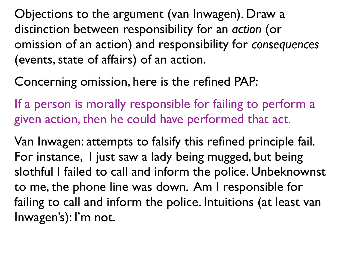Objections to the argument (van Inwagen). Draw a distinction between responsibility for an *action* (or omission of an action) and responsibility for *consequences* (events, state of affairs) of an action.

Concerning omission, here is the refined PAP:

If a person is morally responsible for failing to perform a given action, then he could have performed that act.

Van Inwagen: attempts to falsify this refined principle fail. For instance, I just saw a lady being mugged, but being slothful I failed to call and inform the police. Unbeknownst to me, the phone line was down. Am I responsible for failing to call and inform the police. Intuitions (at least van Inwagen's): I'm not.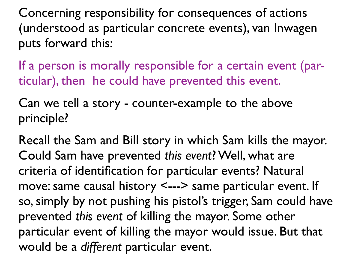Concerning responsibility for consequences of actions (understood as particular concrete events), van Inwagen puts forward this:

If a person is morally responsible for a certain event (particular), then he could have prevented this event.

Can we tell a story - counter-example to the above principle?

Recall the Sam and Bill story in which Sam kills the mayor. Could Sam have prevented *this event*? Well, what are criteria of identification for particular events? Natural move: same causal history <---> same particular event. If so, simply by not pushing his pistol's trigger, Sam could have prevented *this event* of killing the mayor. Some other particular event of killing the mayor would issue. But that would be a *different* particular event.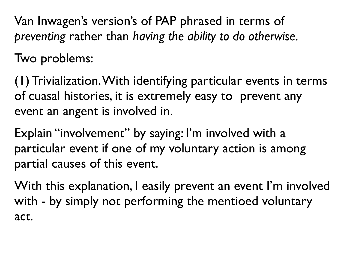Van Inwagen's version's of PAP phrased in terms of *preventing* rather than *having the ability to do otherwise.*

Two problems:

(1) Trivialization. With identifying particular events in terms of cuasal histories, it is extremely easy to prevent any event an angent is involved in.

Explain "involvement" by saying: I'm involved with a particular event if one of my voluntary action is among partial causes of this event.

With this explanation, I easily prevent an event I'm involved with - by simply not performing the mentioed voluntary act.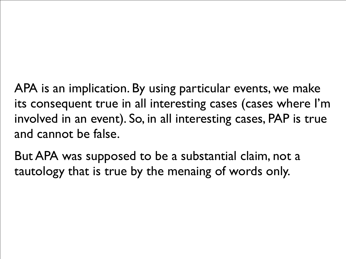APA is an implication. By using particular events, we make its consequent true in all interesting cases (cases where I'm involved in an event). So, in all interesting cases, PAP is true and cannot be false.

But APA was supposed to be a substantial claim, not a tautology that is true by the menaing of words only.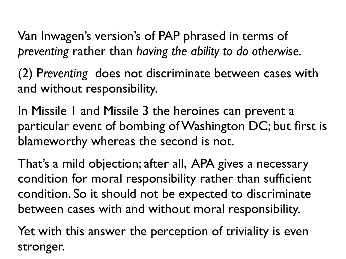Van Inwagen's version's of PAP phrased in terms of *preventing* rather than *having the ability to do otherwise.*

(2) P*reventing* does not discriminate between cases with and without responsibility.

In Missile 1 and Missile 3 the heroines can prevent a particular event of bombing of Washington DC; but first is blameworthy whereas the second is not.

That's a mild objection; after all, APA gives a necessary condition for moral responsibility rather than sufficient condition. So it should not be expected to discriminate between cases with and without moral responsibility.

Yet with this answer the perception of triviality is even stronger.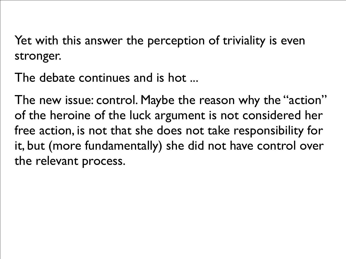Yet with this answer the perception of triviality is even stronger.

The debate continues and is hot ...

The new issue: control. Maybe the reason why the "action" of the heroine of the luck argument is not considered her free action, is not that she does not take responsibility for it, but (more fundamentally) she did not have control over the relevant process.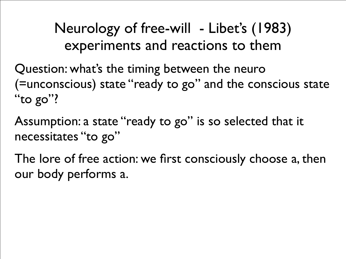Neurology of free-will - Libet's (1983) experiments and reactions to them

Question: what's the timing between the neuro (=unconscious) state "ready to go" and the conscious state "to go"?

Assumption: a state "ready to go" is so selected that it necessitates "to go"

The lore of free action: we first consciously choose a, then our body performs a.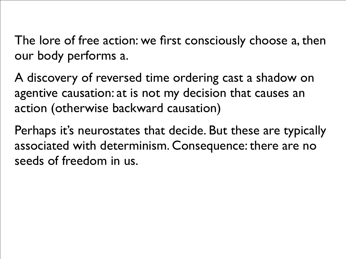The lore of free action: we first consciously choose a, then our body performs a.

A discovery of reversed time ordering cast a shadow on agentive causation: at is not my decision that causes an action (otherwise backward causation)

Perhaps it's neurostates that decide. But these are typically associated with determinism. Consequence: there are no seeds of freedom in us.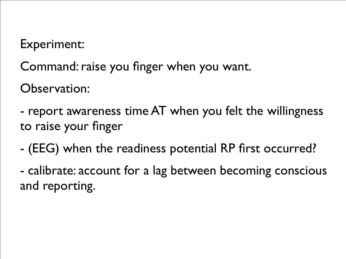Experiment:

Command: raise you finger when you want.

Observation:

- report awareness time AT when you felt the willingness to raise your finger

- (EEG) when the readiness potential RP first occurred?

- calibrate: account for a lag between becoming conscious and reporting.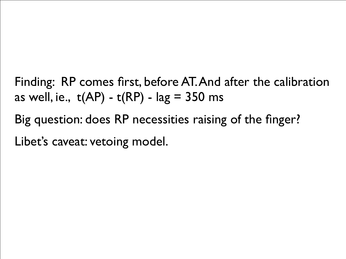Finding: RP comes first, before AT. And after the calibration as well, ie.,  $t(AP) - t(RP) - lag = 350$  ms

Big question: does RP necessities raising of the finger? Libet's caveat: vetoing model.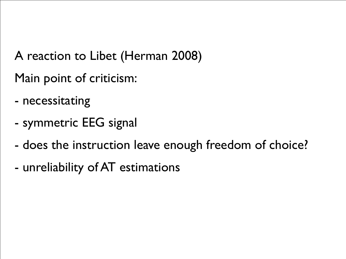A reaction to Libet (Herman 2008)

Main point of criticism:

- necessitating
- symmetric EEG signal
- does the instruction leave enough freedom of choice?
- unreliability of AT estimations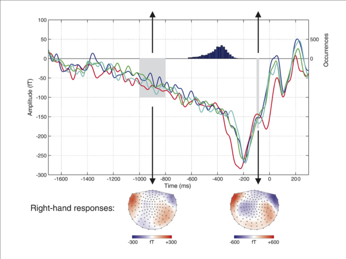

Occurrences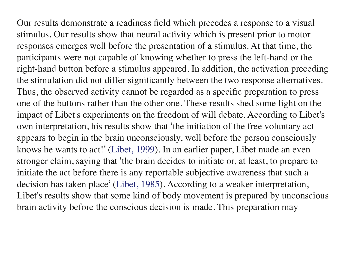Our results demonstrate a readiness field which precedes a response to a visual stimulus. Our results show that neural activity which is present prior to motor responses emerges well before the presentation of a stimulus. At that time, the participants were not capable of knowing whether to press the left-hand or the right-hand button before a stimulus appeared. In addition, the activation preceding the stimulation did not differ significantly between the two response alternatives. Thus, the observed activity cannot be regarded as a specific preparation to press one of the buttons rather than the other one. These results shed some light on the impact of Libet's experiments on the freedom of will debate. According to Libet's own interpretation, his results show that 'the initiation of the free voluntary act appears to begin in the brain unconsciously, well before the person consciously knows he wants to act!' (Libet, 1999). In an earlier paper, Libet made an even stronger claim, saying that 'the brain decides to initiate or, at least, to prepare to initiate the act before there is any reportable subjective awareness that such a decision has taken place' (Libet, 1985). According to a weaker interpretation, Libet's results show that some kind of body movement is prepared by unconscious brain activity before the conscious decision is made. This preparation may